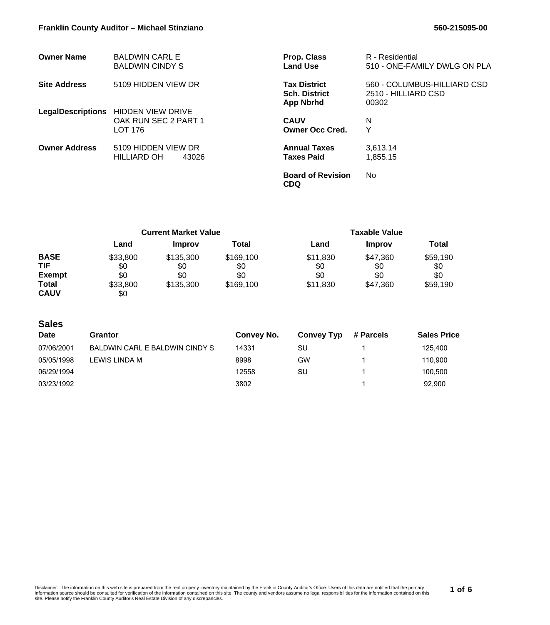| <b>Owner Name</b>    | <b>BALDWIN CARL E</b><br><b>BALDWIN CINDY S</b>                        | <b>Prop. Class</b><br><b>Land Use</b>                           | R - Residential<br>510 - ONE-FAMILY DWLG ON PLA             |
|----------------------|------------------------------------------------------------------------|-----------------------------------------------------------------|-------------------------------------------------------------|
| <b>Site Address</b>  | 5109 HIDDEN VIEW DR                                                    | <b>Tax District</b><br><b>Sch. District</b><br><b>App Nbrhd</b> | 560 - COLUMBUS-HILLIARD CSD<br>2510 - HILLIARD CSD<br>00302 |
|                      | LegalDescriptions HIDDEN VIEW DRIVE<br>OAK RUN SEC 2 PART 1<br>LOT 176 | <b>CAUV</b><br><b>Owner Occ Cred.</b>                           | N<br>Υ                                                      |
| <b>Owner Address</b> | 5109 HIDDEN VIEW DR<br>HILLIARD OH<br>43026                            | <b>Annual Taxes</b><br><b>Taxes Paid</b>                        | 3,613.14<br>1,855.15                                        |
|                      |                                                                        | <b>Board of Revision</b><br><b>CDQ</b>                          | No.                                                         |

|               | <b>Current Market Value</b> |               |           | Taxable Value |               |          |
|---------------|-----------------------------|---------------|-----------|---------------|---------------|----------|
|               | Land                        | <b>Improv</b> | Total     | Land          | <b>Improv</b> | Total    |
| <b>BASE</b>   | \$33,800                    | \$135,300     | \$169,100 | \$11,830      | \$47,360      | \$59,190 |
| TIF           | \$0                         | \$0           | \$0       | \$0           | \$0           | \$0      |
| <b>Exempt</b> | \$0                         | \$0           | \$0       | \$0           | \$0           | \$0      |
| <b>Total</b>  | \$33,800                    | \$135,300     | \$169,100 | \$11,830      | \$47,360      | \$59,190 |
| <b>CAUV</b>   | \$0                         |               |           |               |               |          |

## **Sales**

| Date       | Grantor                        | Convey No. | <b>Convey Typ</b> | # Parcels | <b>Sales Price</b> |
|------------|--------------------------------|------------|-------------------|-----------|--------------------|
| 07/06/2001 | BALDWIN CARL E BALDWIN CINDY S | 14331      | SU                |           | 125.400            |
| 05/05/1998 | LEWIS LINDA M                  | 8998       | GW                |           | 110.900            |
| 06/29/1994 |                                | 12558      | SU                |           | 100.500            |
| 03/23/1992 |                                | 3802       |                   |           | 92.900             |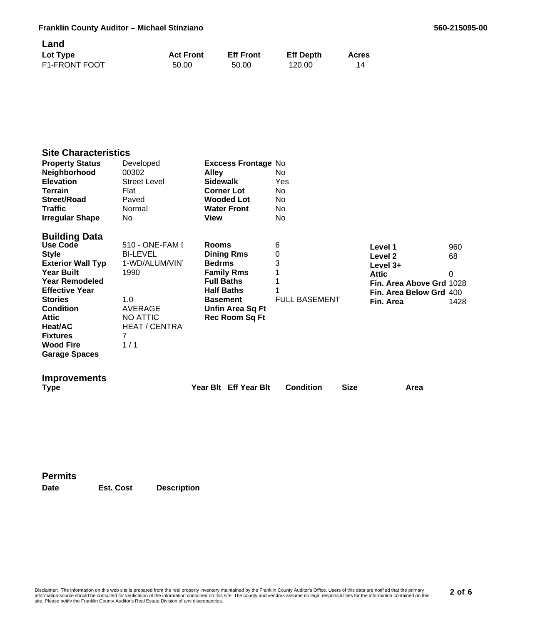| Land                 |                  |                  |                  |              |
|----------------------|------------------|------------------|------------------|--------------|
| Lot Type             | <b>Act Front</b> | <b>Eff Front</b> | <b>Eff Depth</b> | <b>Acres</b> |
| <b>F1-FRONT FOOT</b> | 50.00            | 50.00            | 120.00           | .14          |

# **Site Characteristics**

| <b>Property Status</b><br>Neighborhood<br><b>Elevation</b><br>Terrain<br><b>Street/Road</b><br><b>Traffic</b><br><b>Irregular Shape</b>                                                                                                                                                    | Developed<br>00302<br><b>Street Level</b><br>Flat<br>Paved<br>Normal<br>No.                                                           | <b>Exccess Frontage No</b><br><b>Alley</b><br><b>Sidewalk</b><br><b>Corner Lot</b><br><b>Wooded Lot</b><br><b>Water Front</b><br>View                               | No.<br>Yes<br>No.<br>No<br>No.<br>No |                                                                                                                                                |
|--------------------------------------------------------------------------------------------------------------------------------------------------------------------------------------------------------------------------------------------------------------------------------------------|---------------------------------------------------------------------------------------------------------------------------------------|---------------------------------------------------------------------------------------------------------------------------------------------------------------------|--------------------------------------|------------------------------------------------------------------------------------------------------------------------------------------------|
| <b>Building Data</b><br><b>Use Code</b><br><b>Style</b><br><b>Exterior Wall Typ</b><br><b>Year Built</b><br><b>Year Remodeled</b><br><b>Effective Year</b><br><b>Stories</b><br><b>Condition</b><br><b>Attic</b><br>Heat/AC<br><b>Fixtures</b><br><b>Wood Fire</b><br><b>Garage Spaces</b> | 510 - ONE-FAM I<br><b>BI-LEVEL</b><br>1-WD/ALUM/VIN<br>1990<br>1.0<br>AVERAGE<br><b>NO ATTIC</b><br><b>HEAT / CENTRAI</b><br>7<br>1/1 | Rooms<br><b>Dining Rms</b><br><b>Bedrms</b><br><b>Family Rms</b><br><b>Full Baths</b><br><b>Half Baths</b><br><b>Basement</b><br>Unfin Area Sq Ft<br>Rec Room Sq Ft | 6<br>0<br>3<br><b>FULL BASEMENT</b>  | Level 1<br>960<br>68<br>Level 2<br>Level $3+$<br><b>Attic</b><br>0<br>Fin. Area Above Grd 1028<br>Fin. Area Below Grd 400<br>Fin. Area<br>1428 |
| <b>Improvements</b><br>Type                                                                                                                                                                                                                                                                |                                                                                                                                       | Year Blt Eff Year Blt                                                                                                                                               | <b>Condition</b><br><b>Size</b>      | Area                                                                                                                                           |

**Permits**

**Date Est. Cost Description**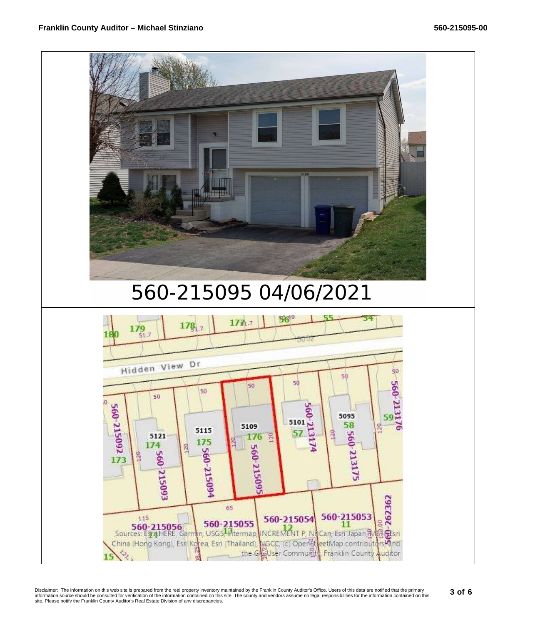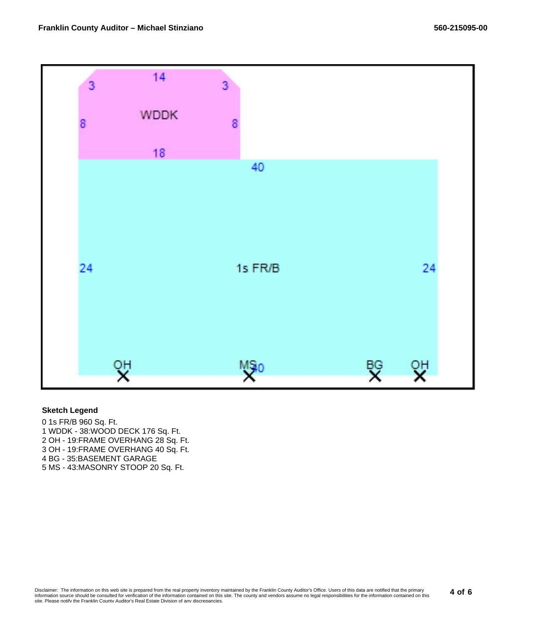

#### **Sketch Legend**

0 1s FR/B 960 Sq. Ft. 1 WDDK - 38:WOOD DECK 176 Sq. Ft. 2 OH - 19:FRAME OVERHANG 28 Sq. Ft. 3 OH - 19:FRAME OVERHANG 40 Sq. Ft. 4 BG - 35:BASEMENT GARAGE 5 MS - 43:MASONRY STOOP 20 Sq. Ft.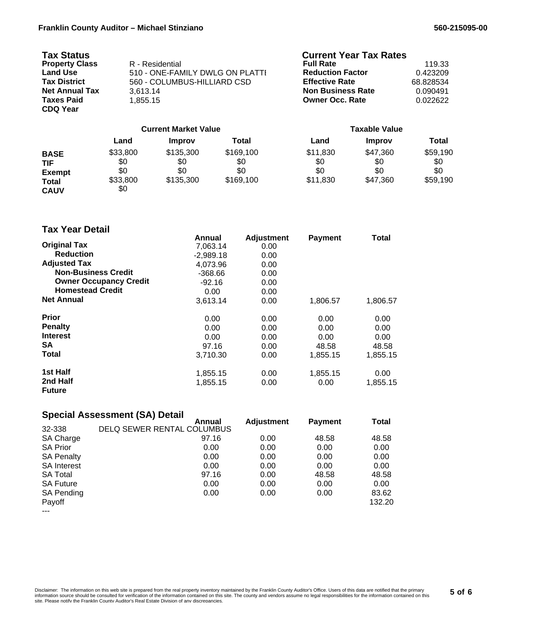| <b>Tax Status</b>     |                                 | <b>Current Year Tax Rates</b> |           |
|-----------------------|---------------------------------|-------------------------------|-----------|
| <b>Property Class</b> | R - Residential                 | <b>Full Rate</b>              | 119.33    |
| <b>Land Use</b>       | 510 - ONE-FAMILY DWLG ON PLATTI | <b>Reduction Factor</b>       | 0.423209  |
| <b>Tax District</b>   | 560 - COLUMBUS-HILLIARD CSD     | <b>Effective Rate</b>         | 68.828534 |
| <b>Net Annual Tax</b> | 3.613.14                        | <b>Non Business Rate</b>      | 0.090491  |
| <b>Taxes Paid</b>     | 1.855.15                        | <b>Owner Occ. Rate</b>        | 0.022622  |
| <b>CDQ Year</b>       |                                 |                               |           |
|                       |                                 |                               |           |

|                                                                           | <b>Current Market Value</b>               |                                      |                                      | <b>Taxable Value</b>               |                                    |                                    |
|---------------------------------------------------------------------------|-------------------------------------------|--------------------------------------|--------------------------------------|------------------------------------|------------------------------------|------------------------------------|
|                                                                           | Land                                      | <b>Improv</b>                        | Total                                | Land                               | <b>Improv</b>                      | Total                              |
| <b>BASE</b><br><b>TIF</b><br><b>Exempt</b><br><b>Total</b><br><b>CAUV</b> | \$33,800<br>\$0<br>\$0<br>\$33,800<br>\$0 | \$135,300<br>\$0<br>\$0<br>\$135,300 | \$169,100<br>\$0<br>\$0<br>\$169,100 | \$11,830<br>\$0<br>\$0<br>\$11,830 | \$47,360<br>\$0<br>\$0<br>\$47,360 | \$59,190<br>\$0<br>\$0<br>\$59,190 |

## **Tax Year Detail**

|                               | Annual      | <b>Adjustment</b> | <b>Payment</b> | Total    |
|-------------------------------|-------------|-------------------|----------------|----------|
| <b>Original Tax</b>           | 7,063.14    | 0.00              |                |          |
| <b>Reduction</b>              | $-2,989.18$ | 0.00              |                |          |
| <b>Adjusted Tax</b>           | 4.073.96    | 0.00              |                |          |
| <b>Non-Business Credit</b>    | $-368.66$   | 0.00              |                |          |
| <b>Owner Occupancy Credit</b> | $-92.16$    | 0.00              |                |          |
| <b>Homestead Credit</b>       | 0.00        | 0.00              |                |          |
| <b>Net Annual</b>             | 3,613.14    | 0.00              | 1,806.57       | 1,806.57 |
| <b>Prior</b>                  | 0.00        | 0.00              | 0.00           | 0.00     |
| <b>Penalty</b>                | 0.00        | 0.00              | 0.00           | 0.00     |
| <b>Interest</b>               | 0.00        | 0.00              | 0.00           | 0.00     |
| SA                            | 97.16       | 0.00              | 48.58          | 48.58    |
| Total                         | 3,710.30    | 0.00              | 1,855.15       | 1,855.15 |
| 1st Half                      | 1,855.15    | 0.00              | 1,855.15       | 0.00     |
| 2nd Half                      | 1,855.15    | 0.00              | 0.00           | 1,855.15 |
| <b>Future</b>                 |             |                   |                |          |

### **Special Assessment (SA) Detail**

|                    | Annual                     | <b>Adjustment</b> | <b>Payment</b> | Total  |
|--------------------|----------------------------|-------------------|----------------|--------|
| 32-338             | DELQ SEWER RENTAL COLUMBUS |                   |                |        |
| SA Charge          | 97.16                      | 0.00              | 48.58          | 48.58  |
| <b>SA Prior</b>    | 0.00                       | 0.00              | 0.00           | 0.00   |
| <b>SA Penalty</b>  | 0.00                       | 0.00              | 0.00           | 0.00   |
| <b>SA Interest</b> | 0.00                       | 0.00              | 0.00           | 0.00   |
| <b>SA Total</b>    | 97.16                      | 0.00              | 48.58          | 48.58  |
| <b>SA Future</b>   | 0.00                       | 0.00              | 0.00           | 0.00   |
| <b>SA Pending</b>  | 0.00                       | 0.00              | 0.00           | 83.62  |
| Payoff             |                            |                   |                | 132.20 |
| ---                |                            |                   |                |        |